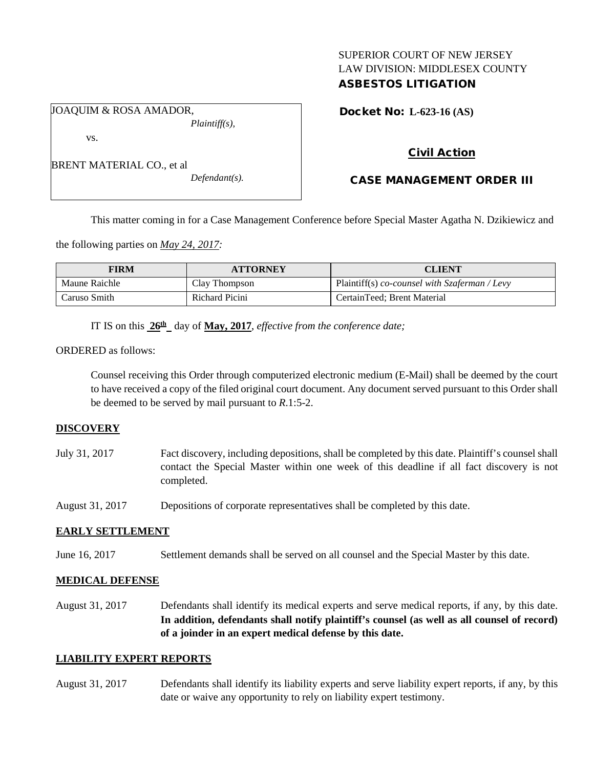## SUPERIOR COURT OF NEW JERSEY LAW DIVISION: MIDDLESEX COUNTY ASBESTOS LITIGATION

JOAQUIM & ROSA AMADOR, *Plaintiff(s),*

vs.

| BRENT MATERIAL CO., et al |  |  |
|---------------------------|--|--|
|                           |  |  |

*Defendant(s).*

Docket No: **L-623-16 (AS)** 

# Civil Action

# CASE MANAGEMENT ORDER III

This matter coming in for a Case Management Conference before Special Master Agatha N. Dzikiewicz and

the following parties on *May 24, 2017:*

| <b>FIRM</b>   | <b>ATTORNEY</b> | <b>CLIENT</b>                                    |
|---------------|-----------------|--------------------------------------------------|
| Maune Raichle | Clay Thompson   | Plaintiff(s) $co$ -counsel with Szaferman / Levy |
| Caruso Smith  | Richard Picini  | CertainTeed; Brent Material                      |

IT IS on this **26th** day of **May, 2017**, *effective from the conference date;*

ORDERED as follows:

Counsel receiving this Order through computerized electronic medium (E-Mail) shall be deemed by the court to have received a copy of the filed original court document. Any document served pursuant to this Order shall be deemed to be served by mail pursuant to *R*.1:5-2.

#### **DISCOVERY**

July 31, 2017 Fact discovery, including depositions, shall be completed by this date. Plaintiff's counsel shall contact the Special Master within one week of this deadline if all fact discovery is not completed.

August 31, 2017 Depositions of corporate representatives shall be completed by this date.

## **EARLY SETTLEMENT**

June 16, 2017 Settlement demands shall be served on all counsel and the Special Master by this date.

#### **MEDICAL DEFENSE**

August 31, 2017 Defendants shall identify its medical experts and serve medical reports, if any, by this date. **In addition, defendants shall notify plaintiff's counsel (as well as all counsel of record) of a joinder in an expert medical defense by this date.**

## **LIABILITY EXPERT REPORTS**

August 31, 2017 Defendants shall identify its liability experts and serve liability expert reports, if any, by this date or waive any opportunity to rely on liability expert testimony.